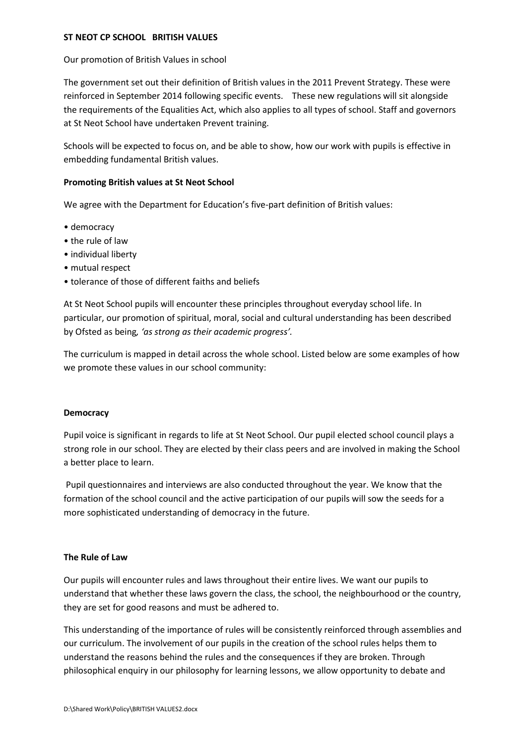#### ST NEOT CP SCHOOL BRITISH VALUES

#### Our promotion of British Values in school

The government set out their definition of British values in the 2011 Prevent Strategy. These were reinforced in September 2014 following specific events. These new regulations will sit alongside the requirements of the Equalities Act, which also applies to all types of school. Staff and governors at St Neot School have undertaken Prevent training.

Schools will be expected to focus on, and be able to show, how our work with pupils is effective in embedding fundamental British values.

#### Promoting British values at St Neot School

We agree with the Department for Education's five-part definition of British values:

- democracy
- the rule of law
- individual liberty
- mutual respect
- tolerance of those of different faiths and beliefs

At St Neot School pupils will encounter these principles throughout everyday school life. In particular, our promotion of spiritual, moral, social and cultural understanding has been described by Ofsted as being, 'as strong as their academic progress'.

The curriculum is mapped in detail across the whole school. Listed below are some examples of how we promote these values in our school community:

## **Democracy**

Pupil voice is significant in regards to life at St Neot School. Our pupil elected school council plays a strong role in our school. They are elected by their class peers and are involved in making the School a better place to learn.

 Pupil questionnaires and interviews are also conducted throughout the year. We know that the formation of the school council and the active participation of our pupils will sow the seeds for a more sophisticated understanding of democracy in the future.

# The Rule of Law

Our pupils will encounter rules and laws throughout their entire lives. We want our pupils to understand that whether these laws govern the class, the school, the neighbourhood or the country, they are set for good reasons and must be adhered to.

This understanding of the importance of rules will be consistently reinforced through assemblies and our curriculum. The involvement of our pupils in the creation of the school rules helps them to understand the reasons behind the rules and the consequences if they are broken. Through philosophical enquiry in our philosophy for learning lessons, we allow opportunity to debate and